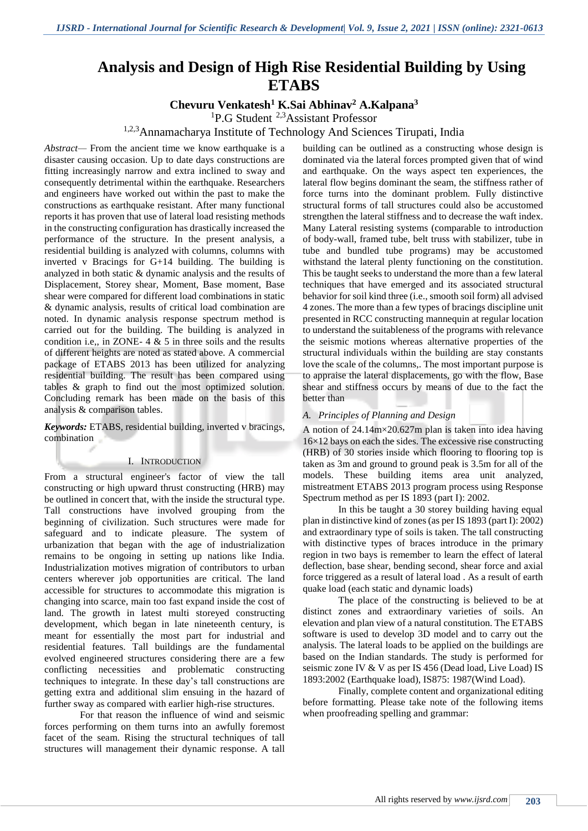# **Analysis and Design of High Rise Residential Building by Using ETABS**

# **Chevuru Venkatesh<sup>1</sup> K.Sai Abhinav<sup>2</sup> A.Kalpana<sup>3</sup>**

<sup>1</sup>P.G Student <sup>2,3</sup>Assistant Professor

# <sup>1,2,3</sup>Annamacharya Institute of Technology And Sciences Tirupati, India

*Abstract—* From the ancient time we know earthquake is a disaster causing occasion. Up to date days constructions are fitting increasingly narrow and extra inclined to sway and consequently detrimental within the earthquake. Researchers and engineers have worked out within the past to make the constructions as earthquake resistant. After many functional reports it has proven that use of lateral load resisting methods in the constructing configuration has drastically increased the performance of the structure. In the present analysis, a residential building is analyzed with columns, columns with inverted v Bracings for G+14 building. The building is analyzed in both static & dynamic analysis and the results of Displacement, Storey shear, Moment, Base moment, Base shear were compared for different load combinations in static & dynamic analysis, results of critical load combination are noted. In dynamic analysis response spectrum method is carried out for the building. The building is analyzed in condition i.e., in ZONE-  $4 \& 5$  in three soils and the results of different heights are noted as stated above. A commercial package of ETABS 2013 has been utilized for analyzing residential building. The result has been compared using tables & graph to find out the most optimized solution. Concluding remark has been made on the basis of this analysis & comparison tables.

*Keywords:* ETABS, residential building, inverted v bracings, combination

#### I. INTRODUCTION

From a structural engineer's factor of view the tall constructing or high upward thrust constructing (HRB) may be outlined in concert that, with the inside the structural type. Tall constructions have involved grouping from the beginning of civilization. Such structures were made for safeguard and to indicate pleasure. The system of urbanization that began with the age of industrialization remains to be ongoing in setting up nations like India. Industrialization motives migration of contributors to urban centers wherever job opportunities are critical. The land accessible for structures to accommodate this migration is changing into scarce, main too fast expand inside the cost of land. The growth in latest multi storeyed constructing development, which began in late nineteenth century, is meant for essentially the most part for industrial and residential features. Tall buildings are the fundamental evolved engineered structures considering there are a few conflicting necessities and problematic constructing techniques to integrate. In these day's tall constructions are getting extra and additional slim ensuing in the hazard of further sway as compared with earlier high-rise structures.

For that reason the influence of wind and seismic forces performing on them turns into an awfully foremost facet of the seam. Rising the structural techniques of tall structures will management their dynamic response. A tall building can be outlined as a constructing whose design is dominated via the lateral forces prompted given that of wind and earthquake. On the ways aspect ten experiences, the lateral flow begins dominant the seam, the stiffness rather of force turns into the dominant problem. Fully distinctive structural forms of tall structures could also be accustomed strengthen the lateral stiffness and to decrease the waft index. Many Lateral resisting systems (comparable to introduction of body-wall, framed tube, belt truss with stabilizer, tube in tube and bundled tube programs) may be accustomed withstand the lateral plenty functioning on the constitution. This be taught seeks to understand the more than a few lateral techniques that have emerged and its associated structural behavior for soil kind three (i.e., smooth soil form) all advised 4 zones. The more than a few types of bracings discipline unit presented in RCC constructing mannequin at regular location to understand the suitableness of the programs with relevance the seismic motions whereas alternative properties of the structural individuals within the building are stay constants love the scale of the columns,. The most important purpose is to appraise the lateral displacements, go with the flow, Base shear and stiffness occurs by means of due to the fact the better than

#### *A. Principles of Planning and Design*

A notion of 24.14m×20.627m plan is taken into idea having 16×12 bays on each the sides. The excessive rise constructing (HRB) of 30 stories inside which flooring to flooring top is taken as 3m and ground to ground peak is 3.5m for all of the models. These building items area unit analyzed, mistreatment ETABS 2013 program process using Response Spectrum method as per IS 1893 (part I): 2002.

In this be taught a 30 storey building having equal plan in distinctive kind of zones (as per IS 1893 (part I): 2002) and extraordinary type of soils is taken. The tall constructing with distinctive types of braces introduce in the primary region in two bays is remember to learn the effect of lateral deflection, base shear, bending second, shear force and axial force triggered as a result of lateral load . As a result of earth quake load (each static and dynamic loads)

The place of the constructing is believed to be at distinct zones and extraordinary varieties of soils. An elevation and plan view of a natural constitution. The ETABS software is used to develop 3D model and to carry out the analysis. The lateral loads to be applied on the buildings are based on the Indian standards. The study is performed for seismic zone IV & V as per IS 456 (Dead load, Live Load) IS 1893:2002 (Earthquake load), IS875: 1987(Wind Load).

Finally, complete content and organizational editing before formatting. Please take note of the following items when proofreading spelling and grammar: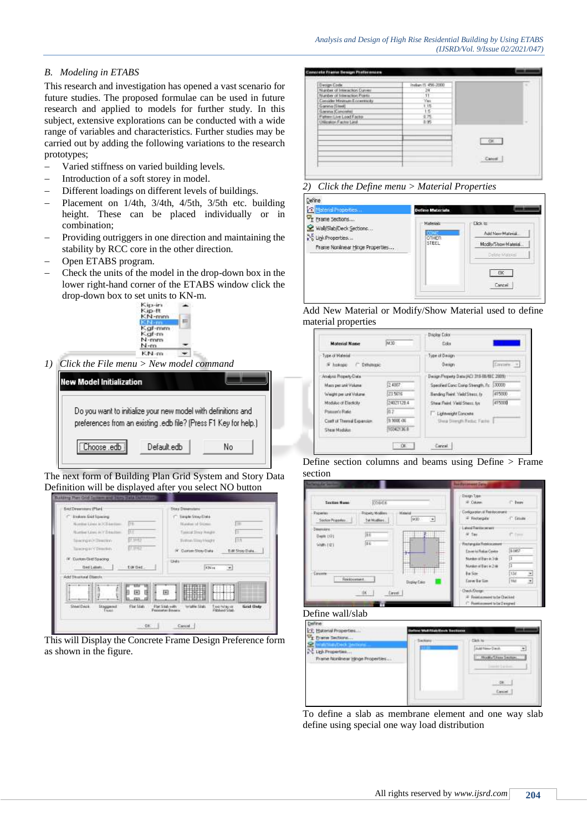# *B. Modeling in ETABS*

This research and investigation has opened a vast scenario for future studies. The proposed formulae can be used in future research and applied to models for further study. In this subject, extensive explorations can be conducted with a wide range of variables and characteristics. Further studies may be carried out by adding the following variations to the research prototypes;

- Varied stiffness on varied building levels.
- Introduction of a soft storey in model.
- Different loadings on different levels of buildings.
- Placement on 1/4th, 3/4th, 4/5th, 3/5th etc. building height. These can be placed individually or in combination;
- Providing outriggers in one direction and maintaining the stability by RCC core in the other direction.
- Open ETABS program.
- Check the units of the model in the drop-down box in the lower right-hand corner of the ETABS window click the drop-down box to set units to KN-m.<br> $\frac{\text{Kip-in}}{\text{Kip}-\text{in}}$



*1) Click the File menu > New model command*



The next form of Building Plan Grid System and Story Data Definition will be displayed after you select NO button



This will Display the Concrete Frame Design Preference form as shown in the figure.



# *2) Click the Define menu > Material Properties*

| <b>R</b> Material Properties                                                                                       | <b>Define Materials</b>            |                                                                                       |
|--------------------------------------------------------------------------------------------------------------------|------------------------------------|---------------------------------------------------------------------------------------|
| V <sub>I</sub> Frame Sections<br>Wall/Slab/Deck Sections<br>NE Link Properties<br>Frame Nonlinear Hinge Properties | Materials<br><b>OTHER</b><br>STEEL | -Click In<br>Add New Material<br>Modily/Show Material<br>Debte Married<br>œ<br>Cancel |

Add New Material or Modify/Show Material used to define material properties

|                            |            | Display Eolor                               |                 |
|----------------------------|------------|---------------------------------------------|-----------------|
| <b>Material Name</b>       | N30        | Eolor                                       |                 |
| Type of Malmial            |            | Tipe of Dation                              |                 |
| F Indone C Determine       |            | Design                                      | <b>Conner</b> + |
| Analysis Property Data     |            | Design Property Data (AC) 318-98-18 C 2009) |                 |
| Mann per unit Volume       | 2,4807.    | Specified Conc Comp Strength, Pc 500000     |                 |
| Weight per unit Volume     | 73,5616    | Bending Reinf, Yield Street, for            | 415000          |
| Modulus of Elections       | 24921120.4 | Shear Reinf, Yarki Sherri, for              | 415000          |
| Potent's Rate              | lаэ        | Lichmight Concrete                          |                 |
| Coat of Thereal Expansion. | 3 5000 00  | Shea Sterath Reduc Factor                   |                 |
| <b>Shew Modulue</b>        | 10342136.8 |                                             |                 |

Define section columns and beams using Define > Frame section



### Define wall/slab



To define a slab as membrane element and one way slab define using special one way load distribution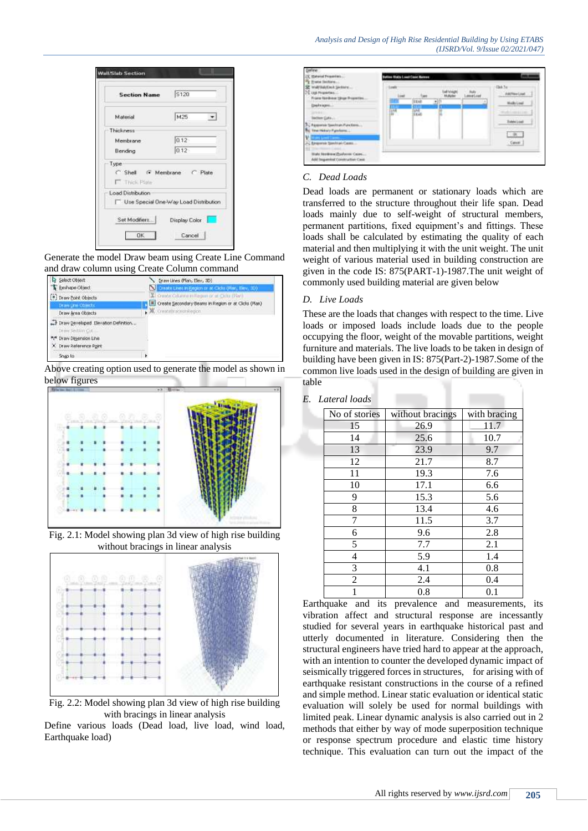

Generate the model Draw beam using Create Line Command and draw column using Create Column command



Above creating option used to generate the model as shown in below figures



Fig. 2.1: Model showing plan 3d view of high rise building without bracings in linear analysis



Fig. 2.2: Model showing plan 3d view of high rise building with bracings in linear analysis

Define various loads (Dead load, live load, wind load, Earthquake load)



## *C. Dead Loads*

Dead loads are permanent or stationary loads which are transferred to the structure throughout their life span. Dead loads mainly due to self-weight of structural members, permanent partitions, fixed equipment's and fittings. These loads shall be calculated by estimating the quality of each material and then multiplying it with the unit weight. The unit weight of various material used in building construction are given in the code IS: 875(PART-1)-1987.The unit weight of commonly used building material are given below

### *D. Live Loads*

These are the loads that changes with respect to the time. Live loads or imposed loads include loads due to the people occupying the floor, weight of the movable partitions, weight furniture and materials. The live loads to be taken in design of building have been given in IS: 875(Part-2)-1987.Some of the common live loads used in the design of building are given in table

#### *E. Lateral loads*

| No of stories  | without bracings | with bracing |
|----------------|------------------|--------------|
| 15             | 26.9             | 11.7         |
| 14             | 25.6             | 10.7         |
| 13             | 23.9             | 9.7          |
| 12             | 21.7             | 8.7          |
| 11             | 19.3             | 7.6          |
| 10             | 17.1             | 6.6          |
| 9              | 15.3             | 5.6          |
| 8              | 13.4             | 4.6          |
| 7              | 11.5             | 3.7          |
| 6              | 9.6              | 2.8          |
| 5              | 7.7              | 2.1          |
| $\overline{4}$ | 5.9              | 1.4          |
| 3              | 4.1              | 0.8          |
| $\overline{c}$ | 2.4              | 0.4          |
|                | 0.8              | 0.1          |

Earthquake and its prevalence and measurements, its vibration affect and structural response are incessantly studied for several years in earthquake historical past and utterly documented in literature. Considering then the structural engineers have tried hard to appear at the approach, with an intention to counter the developed dynamic impact of seismically triggered forces in structures, for arising with of earthquake resistant constructions in the course of a refined and simple method. Linear static evaluation or identical static evaluation will solely be used for normal buildings with limited peak. Linear dynamic analysis is also carried out in 2 methods that either by way of mode superposition technique or response spectrum procedure and elastic time history technique. This evaluation can turn out the impact of the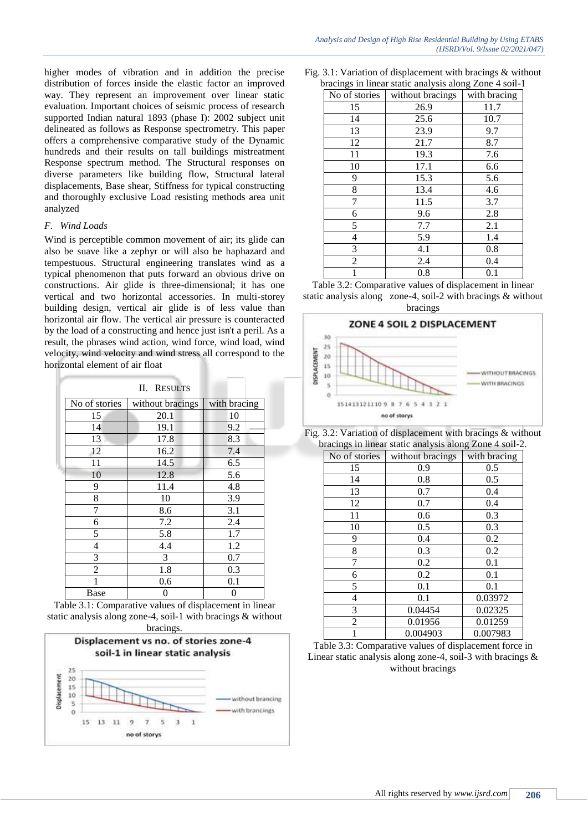higher modes of vibration and in addition the precise distribution of forces inside the elastic factor an improved way. They represent an improvement over linear static evaluation. Important choices of seismic process of research supported Indian natural 1893 (phase I): 2002 subject unit delineated as follows as Response spectrometry. This paper offers a comprehensive comparative study of the Dynamic hundreds and their results on tall buildings mistreatment Response spectrum method. The Structural responses on diverse parameters like building flow, Structural lateral displacements, Base shear, Stiffness for typical constructing and thoroughly exclusive Load resisting methods area unit analyzed

### *F. Wind Loads*

Wind is perceptible common movement of air; its glide can also be suave like a zephyr or will also be haphazard and tempestuous. Structural engineering translates wind as a typical phenomenon that puts forward an obvious drive on constructions. Air glide is three-dimensional; it has one vertical and two horizontal accessories. In multi-storey building design, vertical air glide is of less value than horizontal air flow. The vertical air pressure is counteracted by the load of a constructing and hence just isn't a peril. As a result, the phrases wind action, wind force, wind load, wind velocity, wind velocity and wind stress all correspond to the horizontal element of air float

|                | II.<br><b>RESULTS</b> |              |
|----------------|-----------------------|--------------|
| No of stories  | without bracings      | with bracing |
| 15             | 20.1                  | 10           |
| 14             | 19.1                  | 9.2          |
| 13             | 17.8                  | 8.3          |
| 12             | 16.2                  | 7.4          |
| 11             | 14.5                  | 6.5          |
| 10             | 12.8                  | 5.6          |
| 9              | 11.4                  | 4.8          |
| 8              | 10                    | 3.9          |
| 7              | 8.6                   | 3.1          |
| 6              | 7.2                   | 2.4          |
| 5              | 5.8                   | 1.7          |
| 4              | 4.4                   | 1.2          |
| 3              | 3                     | 0.7          |
| $\mathfrak{D}$ | 1.8                   | 0.3          |
|                | 0.6                   | 0.1          |
| Base           | 0                     |              |

Table 3.1: Comparative values of displacement in linear static analysis along zone-4, soil-1 with bracings & without bracings.



Fig. 3.1: Variation of displacement with bracings & without bracings in linear static analysis along Zone 4 soil-1

| ־ס<br>No of stories | without bracings | ื⊂<br>with bracing |
|---------------------|------------------|--------------------|
| 15                  | 26.9             | 11.7               |
| 14                  | 25.6             | 10.7               |
| 13                  | 23.9             | 9.7                |
| 12                  | 21.7             | 8.7                |
| 11                  | 19.3             | 7.6                |
| 10                  | 17.1             | 6.6                |
| 9                   | 15.3             | 5.6                |
| 8                   | 13.4             | 4.6                |
| $\overline{7}$      | 11.5             | 3.7                |
| 6                   | 9.6              | 2.8                |
| 5                   | 7.7              | 2.1                |
| 4                   | 5.9              | 1.4                |
| 3                   | 4.1              | 0.8                |
| $\overline{2}$      | 2.4              | 0.4                |
|                     | 0.8              | 0.1                |

Table 3.2: Comparative values of displacement in linear static analysis along zone-4, soil-2 with bracings & without bracings



Fig. 3.2: Variation of displacement with bracings & without bracings in linear static analysis along Zone 4 soil-2.

| No of stories | without bracings | with bracing |
|---------------|------------------|--------------|
| 15            | 0.9              | 0.5          |
| 14            | 0.8              | 0.5          |
| 13            | 0.7              | 0.4          |
| 12            | 0.7              | 0.4          |
| 11            | 0.6              | 0.3          |
| 10            | 0.5              | 0.3          |
| 9             | 0.4              | 0.2          |
| 8             | 0.3              | 0.2          |
| 7             | 0.2              | 0.1          |
| 6             | 0.2              | 0.1          |
| 5             | 0.1              | 0.1          |
| 4             | 0.1              | 0.03972      |
| 3             | 0.04454          | 0.02325      |
| 2             | 0.01956          | 0.01259      |
|               | 0.004903         | 0.007983     |

Table 3.3: Comparative values of displacement force in Linear static analysis along zone-4, soil-3 with bracings  $\&$ without bracings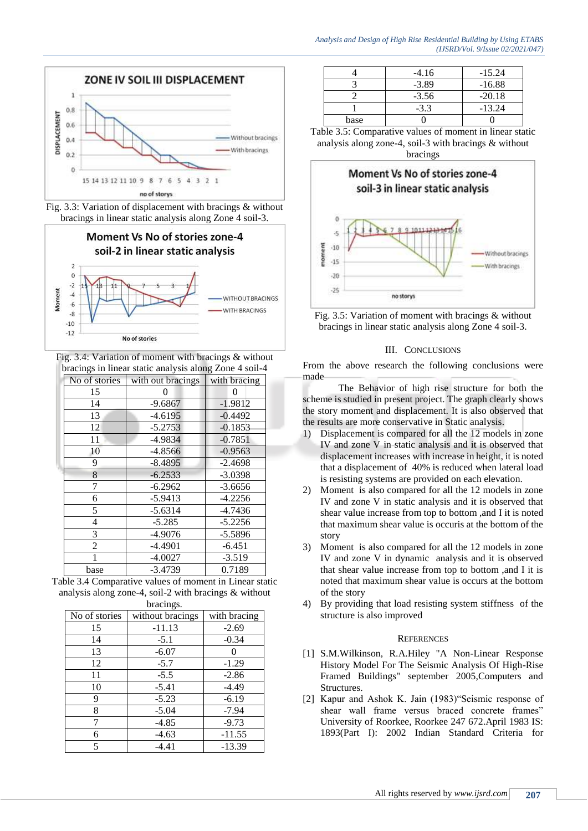

Fig. 3.3: Variation of displacement with bracings & without bracings in linear static analysis along Zone 4 soil-3.



Fig. 3.4: Variation of moment with bracings & without bracings in linear static analysis along Zone 4 soil-4

| No of stories  | with out bracings | with bracing |
|----------------|-------------------|--------------|
| 15             |                   | 0            |
| 14             | $-9.6867$         | $-1.9812$    |
| 13             | $-4.6195$         | $-0.4492$    |
| 12             | $-5.2753$         | $-0.1853$    |
| 11             | $-4.9834$         | $-0.7851$    |
| 10             | $-4.8566$         | $-0.9563$    |
| 9              | $-8.4895$         | $-2.4698$    |
| 8              | $-6.2533$         | $-3.0398$    |
| 7              | $-6.2962$         | $-3.6656$    |
| 6              | $-5.9413$         | $-4.2256$    |
| 5              | $-5.6314$         | $-4.7436$    |
| 4              | $-5.285$          | $-5.2256$    |
| 3              | $-4.9076$         | $-5.5896$    |
| $\overline{c}$ | $-4.4901$         | $-6.451$     |
|                | $-4.0027$         | $-3.519$     |
| base           | $-3.4739$         | 0.7189       |

Table 3.4 Comparative values of moment in Linear static analysis along zone-4, soil-2 with bracings & without hracings

| $0100 \text{ m/s}$ |                  |              |  |
|--------------------|------------------|--------------|--|
| No of stories      | without bracings | with bracing |  |
| 15                 | $-11.13$         | $-2.69$      |  |
| 14                 | $-5.1$           | $-0.34$      |  |
| 13                 | $-6.07$          |              |  |
| 12                 | $-5.7$           | $-1.29$      |  |
| 11                 | $-5.5$           | $-2.86$      |  |
| 10                 | $-5.41$          | $-4.49$      |  |
| 9                  | $-5.23$          | $-6.19$      |  |
| 8                  | $-5.04$          | $-7.94$      |  |
|                    | $-4.85$          | $-9.73$      |  |
| 6                  | $-4.63$          | $-11.55$     |  |
| 5                  | $-4.41$          | $-13.39$     |  |

|      | $-4.16$ | $-15.24$ |
|------|---------|----------|
|      | $-3.89$ | $-16.88$ |
|      | $-3.56$ | $-20.18$ |
|      | $-3.3$  | $-13.24$ |
| base |         |          |

Table 3.5: Comparative values of moment in linear static analysis along zone-4, soil-3 with bracings & without bracings





#### III. CONCLUSIONS

From the above research the following conclusions were made

The Behavior of high rise structure for both the scheme is studied in present project. The graph clearly shows the story moment and displacement. It is also observed that the results are more conservative in Static analysis.

- 1) Displacement is compared for all the 12 models in zone IV and zone V in static analysis and it is observed that displacement increases with increase in height, it is noted that a displacement of 40% is reduced when lateral load is resisting systems are provided on each elevation.
- 2) Moment is also compared for all the 12 models in zone IV and zone V in static analysis and it is observed that shear value increase from top to bottom ,and I it is noted that maximum shear value is occuris at the bottom of the story
- 3) Moment is also compared for all the 12 models in zone IV and zone V in dynamic analysis and it is observed that shear value increase from top to bottom ,and I it is noted that maximum shear value is occurs at the bottom of the story
- 4) By providing that load resisting system stiffness of the structure is also improved

#### **REFERENCES**

- [1] S.M.Wilkinson, R.A.Hiley "A Non-Linear Response History Model For The Seismic Analysis Of High-Rise Framed Buildings" september 2005,Computers and Structures.
- [2] Kapur and Ashok K. Jain (1983)"Seismic response of shear wall frame versus braced concrete frames" University of Roorkee, Roorkee 247 672.April 1983 IS: 1893(Part I): 2002 Indian Standard Criteria for